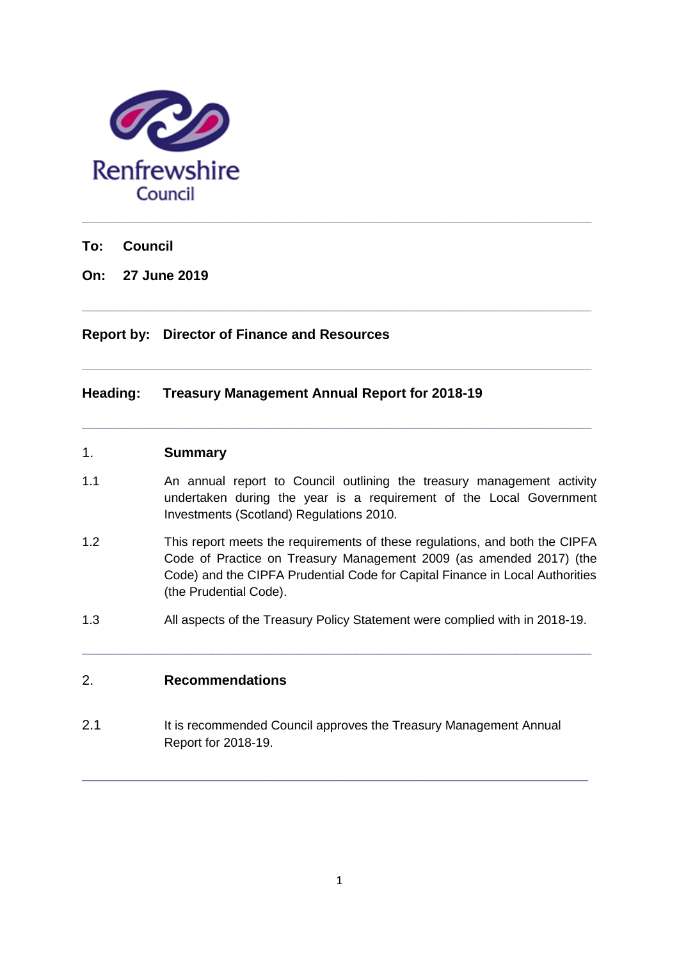

**To: Council**

**On: 27 June 2019**

### **Report by: Director of Finance and Resources**

### **Heading: Treasury Management Annual Report for 2018-19**

#### 1. **Summary**

1.1 An annual report to Council outlining the treasury management activity undertaken during the year is a requirement of the Local Government Investments (Scotland) Regulations 2010.

**\_\_\_\_\_\_\_\_\_\_\_\_\_\_\_\_\_\_\_\_\_\_\_\_\_\_\_\_\_\_\_\_\_\_\_\_\_\_\_\_\_\_\_\_\_\_\_\_\_\_\_\_\_\_\_\_\_\_\_\_\_\_\_\_\_\_\_**

**\_\_\_\_\_\_\_\_\_\_\_\_\_\_\_\_\_\_\_\_\_\_\_\_\_\_\_\_\_\_\_\_\_\_\_\_\_\_\_\_\_\_\_\_\_\_\_\_\_\_\_\_\_\_\_\_\_\_\_\_\_\_\_\_\_\_\_**

**\_\_\_\_\_\_\_\_\_\_\_\_\_\_\_\_\_\_\_\_\_\_\_\_\_\_\_\_\_\_\_\_\_\_\_\_\_\_\_\_\_\_\_\_\_\_\_\_\_\_\_\_\_\_\_\_\_\_\_\_\_\_\_\_\_\_\_**

- 1.2 This report meets the requirements of these regulations, and both the CIPFA Code of Practice on Treasury Management 2009 (as amended 2017) (the Code) and the CIPFA Prudential Code for Capital Finance in Local Authorities (the Prudential Code).
- 1.3 All aspects of the Treasury Policy Statement were complied with in 2018-19.

**\_\_\_\_\_\_\_\_\_\_\_\_\_\_\_\_\_\_\_\_\_\_\_\_\_\_\_\_\_\_\_\_\_\_\_\_\_\_\_\_\_\_\_\_\_\_\_\_\_\_\_\_\_\_\_\_\_\_\_\_\_\_\_\_\_\_\_**

## 2. **Recommendations**

2.1 It is recommended Council approves the Treasury Management Annual Report for 2018-19.

\_\_\_\_\_\_\_\_\_\_\_\_\_\_\_\_\_\_\_\_\_\_\_\_\_\_\_\_\_\_\_\_\_\_\_\_\_\_\_\_\_\_\_\_\_\_\_\_\_\_\_\_\_\_\_\_\_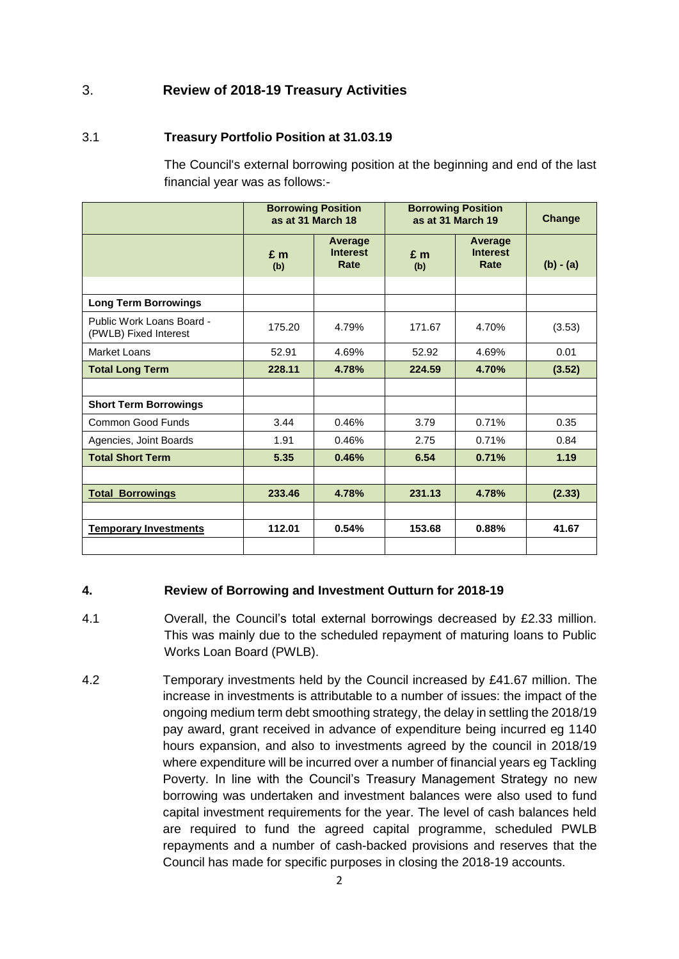# 3. **Review of 2018-19 Treasury Activities**

### 3.1 **Treasury Portfolio Position at 31.03.19**

The Council's external borrowing position at the beginning and end of the last financial year was as follows:-

|                                                    |              | <b>Borrowing Position</b><br>as at 31 March 18 |              | <b>Borrowing Position</b><br>as at 31 March 19 | <b>Change</b> |
|----------------------------------------------------|--------------|------------------------------------------------|--------------|------------------------------------------------|---------------|
|                                                    | $E$ m<br>(b) | Average<br><b>Interest</b><br>Rate             | $E$ m<br>(b) | Average<br><b>Interest</b><br>Rate             | $(b) - (a)$   |
|                                                    |              |                                                |              |                                                |               |
| <b>Long Term Borrowings</b>                        |              |                                                |              |                                                |               |
| Public Work Loans Board -<br>(PWLB) Fixed Interest | 175.20       | 4.79%                                          | 171.67       | 4.70%                                          | (3.53)        |
| <b>Market Loans</b>                                | 52.91        | 4.69%                                          | 52.92        | 4.69%                                          | 0.01          |
| <b>Total Long Term</b>                             | 228.11       | 4.78%                                          | 224.59       | 4.70%                                          | (3.52)        |
|                                                    |              |                                                |              |                                                |               |
| <b>Short Term Borrowings</b>                       |              |                                                |              |                                                |               |
| <b>Common Good Funds</b>                           | 3.44         | 0.46%                                          | 3.79         | 0.71%                                          | 0.35          |
| Agencies, Joint Boards                             | 1.91         | 0.46%                                          | 2.75         | 0.71%                                          | 0.84          |
| <b>Total Short Term</b>                            | 5.35         | 0.46%                                          | 6.54         | 0.71%                                          | 1.19          |
|                                                    |              |                                                |              |                                                |               |
| <b>Total Borrowings</b>                            | 233.46       | 4.78%                                          | 231.13       | 4.78%                                          | (2.33)        |
|                                                    |              |                                                |              |                                                |               |
| <b>Temporary Investments</b>                       | 112.01       | 0.54%                                          | 153.68       | 0.88%                                          | 41.67         |
|                                                    |              |                                                |              |                                                |               |

### **4. Review of Borrowing and Investment Outturn for 2018-19**

- 4.1 Overall, the Council's total external borrowings decreased by £2.33 million. This was mainly due to the scheduled repayment of maturing loans to Public Works Loan Board (PWLB).
- 4.2 Temporary investments held by the Council increased by £41.67 million. The increase in investments is attributable to a number of issues: the impact of the ongoing medium term debt smoothing strategy, the delay in settling the 2018/19 pay award, grant received in advance of expenditure being incurred eg 1140 hours expansion, and also to investments agreed by the council in 2018/19 where expenditure will be incurred over a number of financial years eg Tackling Poverty. In line with the Council's Treasury Management Strategy no new borrowing was undertaken and investment balances were also used to fund capital investment requirements for the year. The level of cash balances held are required to fund the agreed capital programme, scheduled PWLB repayments and a number of cash-backed provisions and reserves that the Council has made for specific purposes in closing the 2018-19 accounts.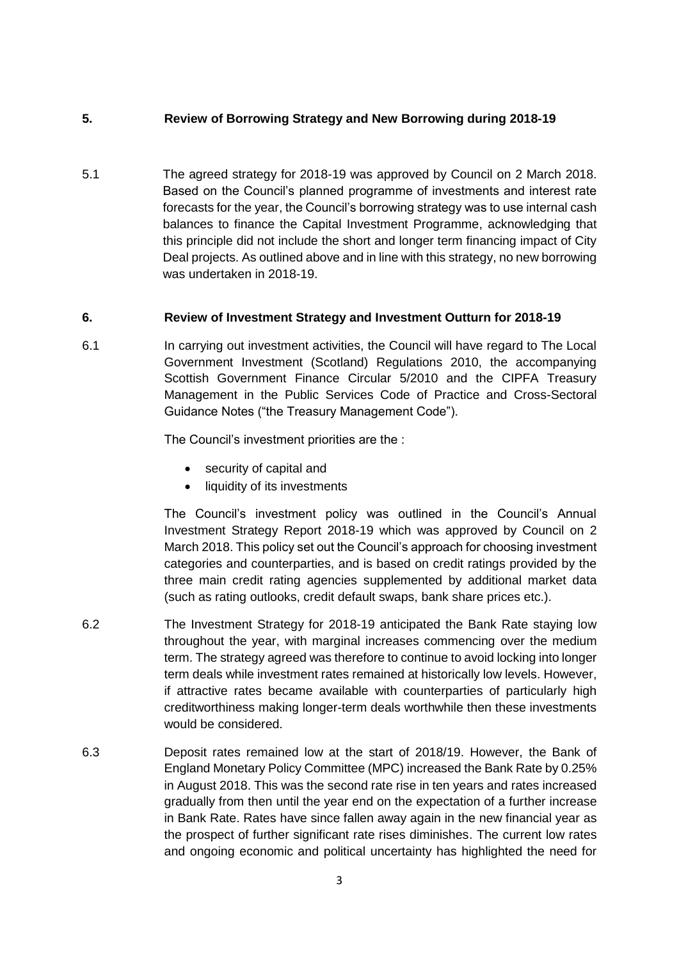### **5. Review of Borrowing Strategy and New Borrowing during 2018-19**

5.1 The agreed strategy for 2018-19 was approved by Council on 2 March 2018. Based on the Council's planned programme of investments and interest rate forecasts for the year, the Council's borrowing strategy was to use internal cash balances to finance the Capital Investment Programme, acknowledging that this principle did not include the short and longer term financing impact of City Deal projects. As outlined above and in line with this strategy, no new borrowing was undertaken in 2018-19.

### **6. Review of Investment Strategy and Investment Outturn for 2018-19**

6.1 In carrying out investment activities, the Council will have regard to The Local Government Investment (Scotland) Regulations 2010, the accompanying Scottish Government Finance Circular 5/2010 and the CIPFA Treasury Management in the Public Services Code of Practice and Cross-Sectoral Guidance Notes ("the Treasury Management Code").

The Council's investment priorities are the :

- security of capital and
- liquidity of its investments

The Council's investment policy was outlined in the Council's Annual Investment Strategy Report 2018-19 which was approved by Council on 2 March 2018. This policy set out the Council's approach for choosing investment categories and counterparties, and is based on credit ratings provided by the three main credit rating agencies supplemented by additional market data (such as rating outlooks, credit default swaps, bank share prices etc.).

- 6.2 The Investment Strategy for 2018-19 anticipated the Bank Rate staying low throughout the year, with marginal increases commencing over the medium term. The strategy agreed was therefore to continue to avoid locking into longer term deals while investment rates remained at historically low levels. However, if attractive rates became available with counterparties of particularly high creditworthiness making longer-term deals worthwhile then these investments would be considered.
- 6.3 Deposit rates remained low at the start of 2018/19. However, the Bank of England Monetary Policy Committee (MPC) increased the Bank Rate by 0.25% in August 2018. This was the second rate rise in ten years and rates increased gradually from then until the year end on the expectation of a further increase in Bank Rate. Rates have since fallen away again in the new financial year as the prospect of further significant rate rises diminishes. The current low rates and ongoing economic and political uncertainty has highlighted the need for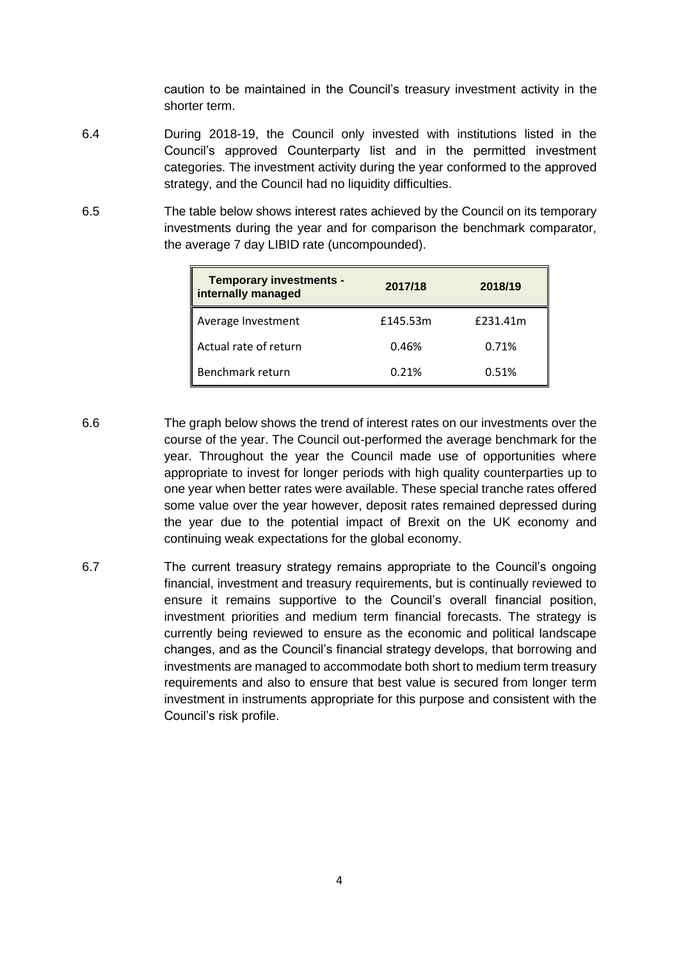caution to be maintained in the Council's treasury investment activity in the shorter term.

- 6.4 During 2018-19, the Council only invested with institutions listed in the Council's approved Counterparty list and in the permitted investment categories. The investment activity during the year conformed to the approved strategy, and the Council had no liquidity difficulties.
- 6.5 The table below shows interest rates achieved by the Council on its temporary investments during the year and for comparison the benchmark comparator, the average 7 day LIBID rate (uncompounded).

| <b>Temporary investments -</b><br>internally managed | 2017/18  | 2018/19  |
|------------------------------------------------------|----------|----------|
| Average Investment                                   | £145.53m | £231.41m |
| Actual rate of return                                | 0.46%    | 0.71%    |
| Benchmark return                                     | 0.21%    | 0.51%    |

- 6.6 The graph below shows the trend of interest rates on our investments over the course of the year. The Council out-performed the average benchmark for the year. Throughout the year the Council made use of opportunities where appropriate to invest for longer periods with high quality counterparties up to one year when better rates were available. These special tranche rates offered some value over the year however, deposit rates remained depressed during the year due to the potential impact of Brexit on the UK economy and continuing weak expectations for the global economy.
- 6.7 The current treasury strategy remains appropriate to the Council's ongoing financial, investment and treasury requirements, but is continually reviewed to ensure it remains supportive to the Council's overall financial position, investment priorities and medium term financial forecasts. The strategy is currently being reviewed to ensure as the economic and political landscape changes, and as the Council's financial strategy develops, that borrowing and investments are managed to accommodate both short to medium term treasury requirements and also to ensure that best value is secured from longer term investment in instruments appropriate for this purpose and consistent with the Council's risk profile.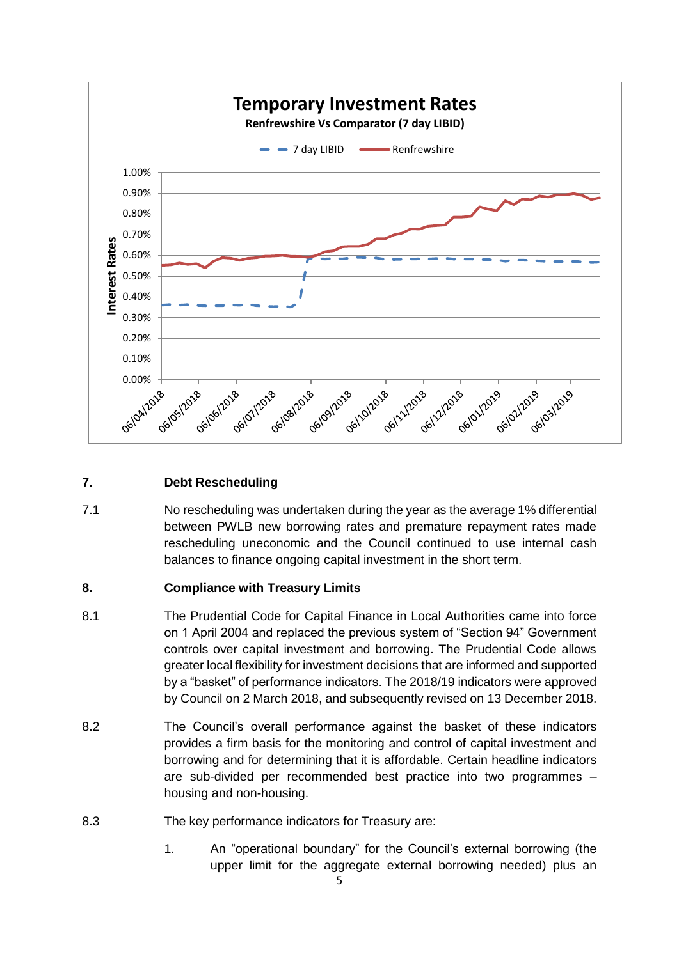

## **7. Debt Rescheduling**

7.1 No rescheduling was undertaken during the year as the average 1% differential between PWLB new borrowing rates and premature repayment rates made rescheduling uneconomic and the Council continued to use internal cash balances to finance ongoing capital investment in the short term.

## **8. Compliance with Treasury Limits**

- 8.1 The Prudential Code for Capital Finance in Local Authorities came into force on 1 April 2004 and replaced the previous system of "Section 94" Government controls over capital investment and borrowing. The Prudential Code allows greater local flexibility for investment decisions that are informed and supported by a "basket" of performance indicators. The 2018/19 indicators were approved by Council on 2 March 2018, and subsequently revised on 13 December 2018.
- 8.2 The Council's overall performance against the basket of these indicators provides a firm basis for the monitoring and control of capital investment and borrowing and for determining that it is affordable. Certain headline indicators are sub-divided per recommended best practice into two programmes – housing and non-housing.
- 8.3 The key performance indicators for Treasury are:
	- 1. An "operational boundary" for the Council's external borrowing (the upper limit for the aggregate external borrowing needed) plus an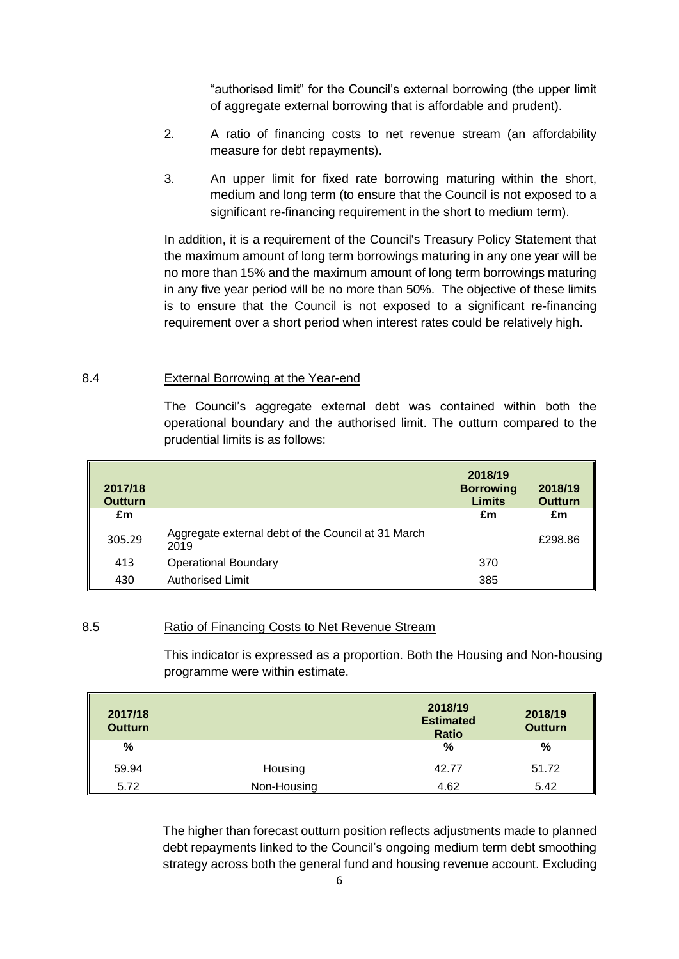"authorised limit" for the Council's external borrowing (the upper limit of aggregate external borrowing that is affordable and prudent).

- 2. A ratio of financing costs to net revenue stream (an affordability measure for debt repayments).
- 3. An upper limit for fixed rate borrowing maturing within the short, medium and long term (to ensure that the Council is not exposed to a significant re-financing requirement in the short to medium term).

In addition, it is a requirement of the Council's Treasury Policy Statement that the maximum amount of long term borrowings maturing in any one year will be no more than 15% and the maximum amount of long term borrowings maturing in any five year period will be no more than 50%. The objective of these limits is to ensure that the Council is not exposed to a significant re-financing requirement over a short period when interest rates could be relatively high.

#### 8.4 External Borrowing at the Year-end

The Council's aggregate external debt was contained within both the operational boundary and the authorised limit. The outturn compared to the prudential limits is as follows:

| 2017/18<br><b>Outturn</b> |                                                            | 2018/19<br><b>Borrowing</b><br><b>Limits</b> | 2018/19<br><b>Outturn</b> |
|---------------------------|------------------------------------------------------------|----------------------------------------------|---------------------------|
| £m                        |                                                            | £m                                           | £m                        |
| 305.29                    | Aggregate external debt of the Council at 31 March<br>2019 |                                              | £298.86                   |
| 413                       | <b>Operational Boundary</b>                                | 370                                          |                           |
| 430                       | <b>Authorised Limit</b>                                    | 385                                          |                           |

#### 8.5 Ratio of Financing Costs to Net Revenue Stream

This indicator is expressed as a proportion. Both the Housing and Non-housing programme were within estimate.

| 2017/18<br><b>Outturn</b> |             | 2018/19<br><b>Estimated</b><br><b>Ratio</b> | 2018/19<br><b>Outturn</b> |
|---------------------------|-------------|---------------------------------------------|---------------------------|
| %                         |             | %                                           | $\%$                      |
| 59.94                     | Housing     | 42.77                                       | 51.72                     |
| 5.72                      | Non-Housing | 4.62                                        | 5.42                      |

The higher than forecast outturn position reflects adjustments made to planned debt repayments linked to the Council's ongoing medium term debt smoothing strategy across both the general fund and housing revenue account. Excluding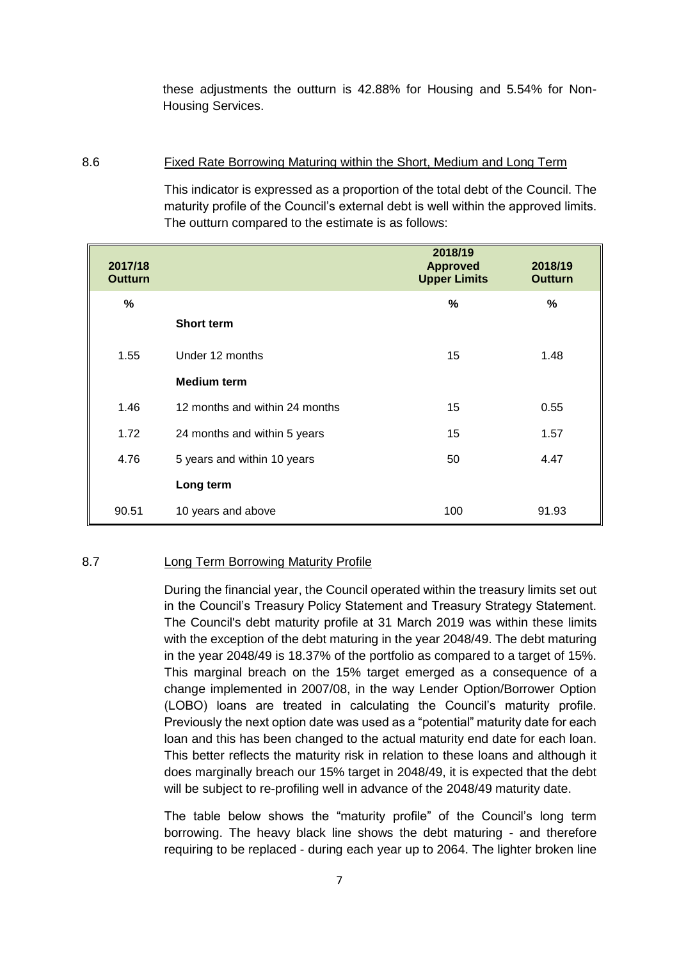these adjustments the outturn is 42.88% for Housing and 5.54% for Non-Housing Services.

#### 8.6 Fixed Rate Borrowing Maturing within the Short, Medium and Long Term

This indicator is expressed as a proportion of the total debt of the Council. The maturity profile of the Council's external debt is well within the approved limits. The outturn compared to the estimate is as follows:

| 2017/18<br><b>Outturn</b> |                                | 2018/19<br><b>Approved</b><br><b>Upper Limits</b> | 2018/19<br><b>Outturn</b> |
|---------------------------|--------------------------------|---------------------------------------------------|---------------------------|
| $\%$                      |                                | $\%$                                              | %                         |
|                           | <b>Short term</b>              |                                                   |                           |
| 1.55                      | Under 12 months                | 15                                                | 1.48                      |
|                           | <b>Medium term</b>             |                                                   |                           |
| 1.46                      | 12 months and within 24 months | 15                                                | 0.55                      |
| 1.72                      | 24 months and within 5 years   | 15                                                | 1.57                      |
| 4.76                      | 5 years and within 10 years    | 50                                                | 4.47                      |
|                           | Long term                      |                                                   |                           |
| 90.51                     | 10 years and above             | 100                                               | 91.93                     |

### 8.7 Long Term Borrowing Maturity Profile

During the financial year, the Council operated within the treasury limits set out in the Council's Treasury Policy Statement and Treasury Strategy Statement. The Council's debt maturity profile at 31 March 2019 was within these limits with the exception of the debt maturing in the year 2048/49. The debt maturing in the year 2048/49 is 18.37% of the portfolio as compared to a target of 15%. This marginal breach on the 15% target emerged as a consequence of a change implemented in 2007/08, in the way Lender Option/Borrower Option (LOBO) loans are treated in calculating the Council's maturity profile. Previously the next option date was used as a "potential" maturity date for each loan and this has been changed to the actual maturity end date for each loan. This better reflects the maturity risk in relation to these loans and although it does marginally breach our 15% target in 2048/49, it is expected that the debt will be subject to re-profiling well in advance of the 2048/49 maturity date.

The table below shows the "maturity profile" of the Council's long term borrowing. The heavy black line shows the debt maturing - and therefore requiring to be replaced - during each year up to 2064. The lighter broken line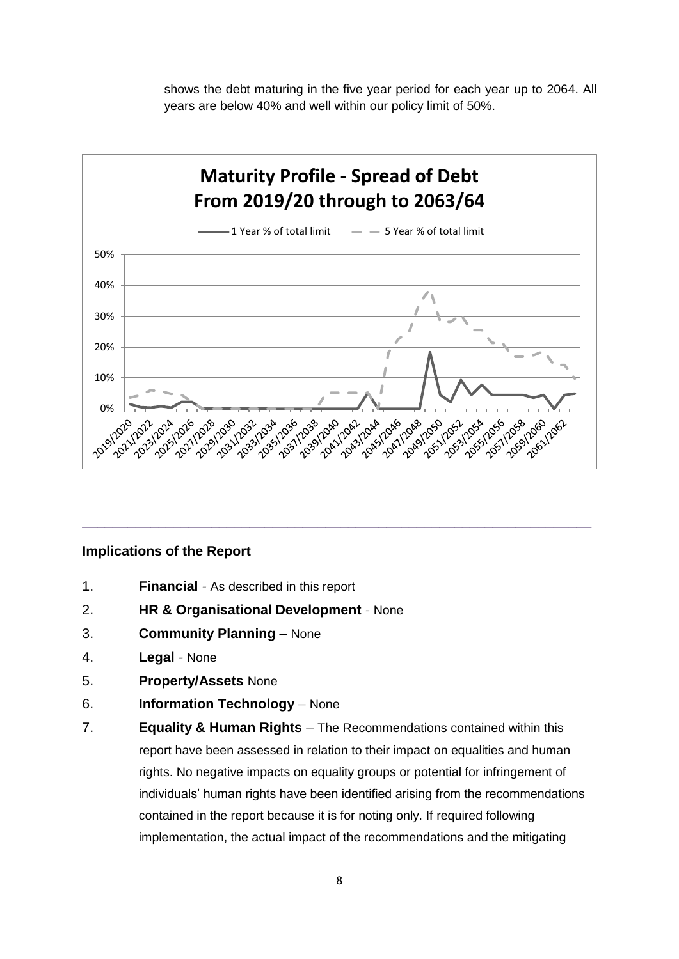shows the debt maturing in the five year period for each year up to 2064. All years are below 40% and well within our policy limit of 50%.



**\_\_\_\_\_\_\_\_\_\_\_\_\_\_\_\_\_\_\_\_\_\_\_\_\_\_\_\_\_\_\_\_\_\_\_\_\_\_\_\_\_\_\_\_\_\_\_\_\_\_\_\_\_\_\_\_\_\_\_\_\_\_\_\_\_\_\_**

#### **Implications of the Report**

- 1. **Financial** *-* As described in this report
- 2. **HR & Organisational Development** *-* None
- 3. **Community Planning** None
- 4. **Legal** *-* None
- 5. **Property/Assets** None
- 6. **Information Technology** *–* None
- 7. **Equality & Human Rights** *–* The Recommendations contained within this report have been assessed in relation to their impact on equalities and human rights. No negative impacts on equality groups or potential for infringement of individuals' human rights have been identified arising from the recommendations contained in the report because it is for noting only. If required following implementation, the actual impact of the recommendations and the mitigating